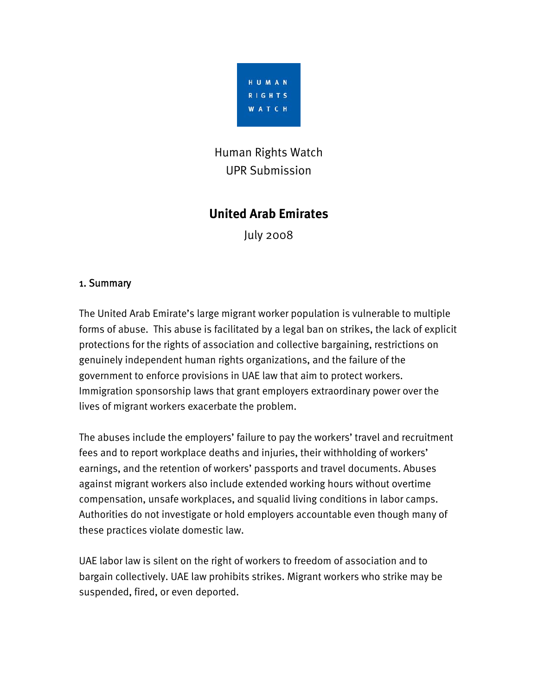

# Human Rights Watch UPR Submission

## **United Arab Emirates**

July 2008

### 1. Summary

The United Arab Emirate's large migrant worker population is vulnerable to multiple forms of abuse. This abuse is facilitated by a legal ban on strikes, the lack of explicit protections for the rights of association and collective bargaining, restrictions on genuinely independent human rights organizations, and the failure of the government to enforce provisions in UAE law that aim to protect workers. Immigration sponsorship laws that grant employers extraordinary power over the lives of migrant workers exacerbate the problem.

The abuses include the employers' failure to pay the workers' travel and recruitment fees and to report workplace deaths and injuries, their withholding of workers' earnings, and the retention of workers' passports and travel documents. Abuses against migrant workers also include extended working hours without overtime compensation, unsafe workplaces, and squalid living conditions in labor camps. Authorities do not investigate or hold employers accountable even though many of these practices violate domestic law.

UAE labor law is silent on the right of workers to freedom of association and to bargain collectively. UAE law prohibits strikes. Migrant workers who strike may be suspended, fired, or even deported.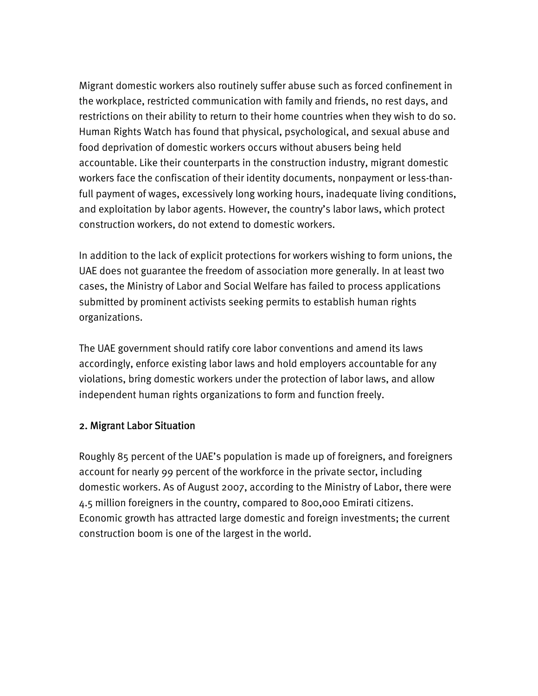Migrant domestic workers also routinely suffer abuse such as forced confinement in the workplace, restricted communication with family and friends, no rest days, and restrictions on their ability to return to their home countries when they wish to do so. Human Rights Watch has found that physical, psychological, and sexual abuse and food deprivation of domestic workers occurs without abusers being held accountable. Like their counterparts in the construction industry, migrant domestic workers face the confiscation of their identity documents, nonpayment or less-thanfull payment of wages, excessively long working hours, inadequate living conditions, and exploitation by labor agents. However, the country's labor laws, which protect construction workers, do not extend to domestic workers.

In addition to the lack of explicit protections for workers wishing to form unions, the UAE does not guarantee the freedom of association more generally. In at least two cases, the Ministry of Labor and Social Welfare has failed to process applications submitted by prominent activists seeking permits to establish human rights organizations.

The UAE government should ratify core labor conventions and amend its laws accordingly, enforce existing labor laws and hold employers accountable for any violations, bring domestic workers under the protection of labor laws, and allow independent human rights organizations to form and function freely.

#### 2. Migrant Labor Situation

**2** 22 22 23 24 25 26 27 28 29 29 20 21 22 23 24 25 26 27 27 28 29 20 21 22 23 24 25 26 27 27 27 27 27 27 27 27

Roughly 85 percent of the UAE's population is made up of foreigners, and foreigners account for nearly 99 percent of the workforce in the private sector, including domestic workers. As of August 2007, according to the Ministry of Labor, there were 4.5 million foreigners in the country, compared to 800,000 Emirati citizens. Economic growth has attracted large domestic and foreign investments; the current construction boom is one of the largest in the world.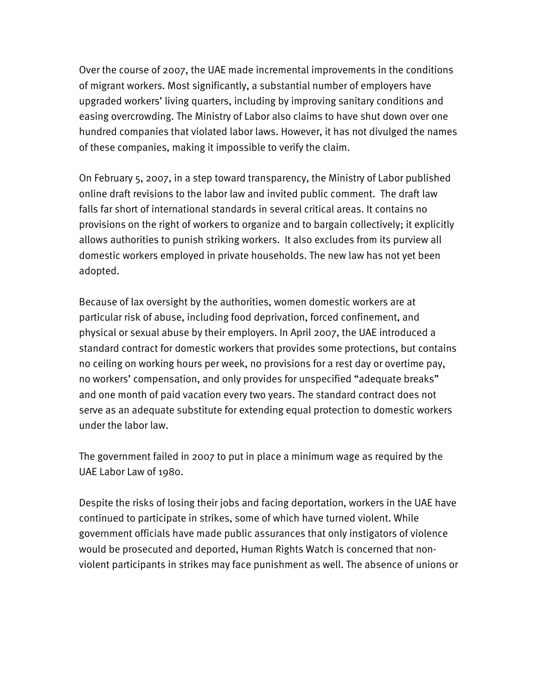Over the course of 2007, the UAE made incremental improvements in the conditions of migrant workers. Most significantly, a substantial number of employers have upgraded workers' living quarters, including by improving sanitary conditions and easing overcrowding. The Ministry of Labor also claims to have shut down over one hundred companies that violated labor laws. However, it has not divulged the names of these companies, making it impossible to verify the claim.

On February 5, 2007, in a step toward transparency, the Ministry of Labor published online draft revisions to the labor law and invited public comment. The draft law falls far short of international standards in several critical areas. It contains no provisions on the right of workers to organize and to bargain collectively; it explicitly allows authorities to punish striking workers. It also excludes from its purview all domestic workers employed in private households. The new law has not yet been adopted.

Because of lax oversight by the authorities, women domestic workers are at particular risk of abuse, including food deprivation, forced confinement, and physical or sexual abuse by their employers. In April 2007, the UAE introduced a standard contract for domestic workers that provides some protections, but contains no ceiling on working hours per week, no provisions for a rest day or overtime pay, no workers' compensation, and only provides for unspecified "adequate breaks" and one month of paid vacation every two years. The standard contract does not serve as an adequate substitute for extending equal protection to domestic workers under the labor law.

The government failed in 2007 to put in place a minimum wage as required by the UAE Labor Law of 1980.

Despite the risks of losing their jobs and facing deportation, workers in the UAE have continued to participate in strikes, some of which have turned violent. While government officials have made public assurances that only instigators of violence would be prosecuted and deported, Human Rights Watch is concerned that nonviolent participants in strikes may face punishment as well. The absence of unions or

**1**  $\overline{3}$   $\overline{3}$   $\overline{3}$   $\overline{3}$   $\overline{3}$   $\overline{3}$   $\overline{3}$   $\overline{3}$   $\overline{3}$   $\overline{3}$   $\overline{3}$   $\overline{3}$   $\overline{3}$   $\overline{3}$   $\overline{3}$   $\overline{3}$   $\overline{3}$   $\overline{3}$   $\overline{3}$   $\overline{3}$   $\overline{3}$   $\overline{3}$   $\overline{3}$   $\overline{3}$   $\$